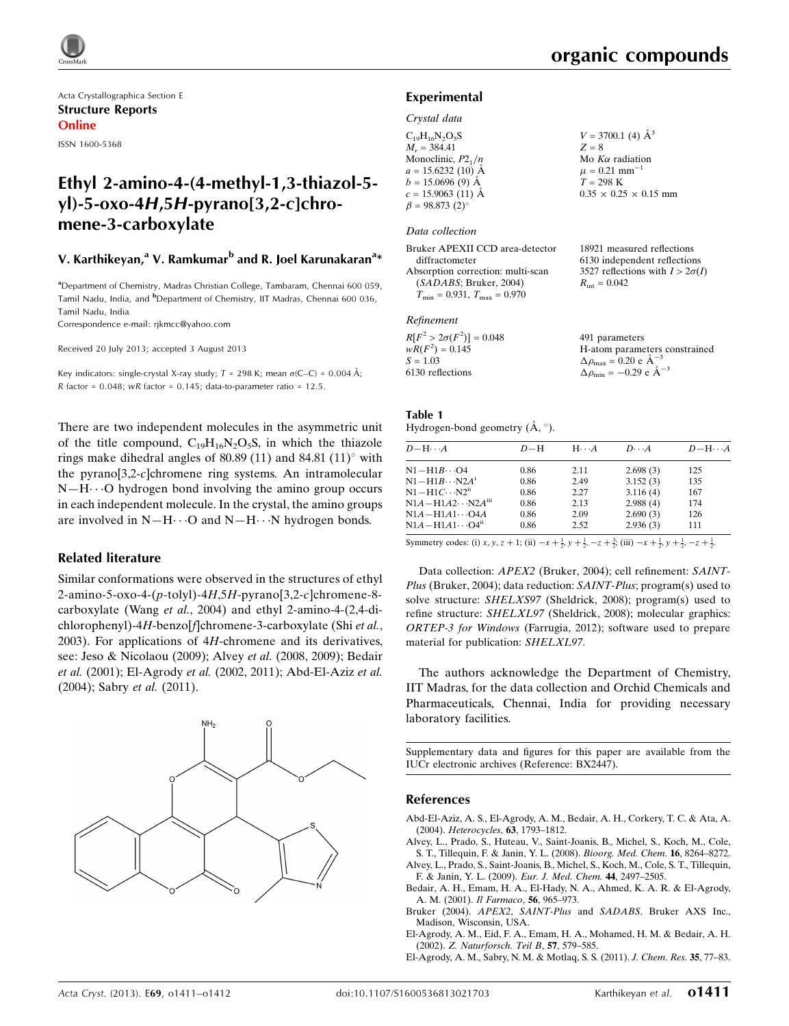

Acta Crystallographica Section E Structure Reports Online ISSN 1600-5368

# Ethyl 2-amino-4-(4-methyl-1,3-thiazol-5 yl)-5-oxo-4H,5H-pyrano[3,2-c]chromene-3-carboxylate

# V. Karthikeyan,<sup>a</sup> V. Ramkumar<sup>b</sup> and R. Joel Karunakaran<sup>a</sup>\*

<sup>a</sup>Department of Chemistry, Madras Christian College, Tambaram, Chennai 600 059, Tamil Nadu, India, and <sup>b</sup>Department of Chemistry, IIT Madras, Chennai 600 036, Tamil Nadu, India

Correspondence e-mail: [rjkmcc@yahoo.com](http://scripts.iucr.org/cgi-bin/cr.cgi?rm=pdfbb&cnor=bx2447&bbid=BB13)

Received 20 July 2013; accepted 3 August 2013

Key indicators: single-crystal X-ray study;  $T = 298$  K; mean  $\sigma$ (C–C) = 0.004 Å; R factor =  $0.048$ ; wR factor =  $0.145$ ; data-to-parameter ratio =  $12.5$ .

There are two independent molecules in the asymmetric unit of the title compound,  $C_{19}H_{16}N_2O_5S$ , in which the thiazole rings make dihedral angles of 80.89 (11) and 84.81  $(11)^\circ$  with the pyrano $[3,2-c]$ chromene ring systems. An intramolecular  $N-H\cdots$ O hydrogen bond involving the amino group occurs in each independent molecule. In the crystal, the amino groups are involved in  $N-H\cdots$ O and  $N-H\cdots$ N hydrogen bonds.

### Related literature

Similar conformations were observed in the structures of ethyl 2-amino-5-oxo-4- $(p$ -tolyl)-4H,5H-pyrano[3,2-c]chromene-8carboxylate (Wang et al., 2004) and ethyl 2-amino-4-(2,4-dichlorophenyl)-4H-benzo[f]chromene-3-carboxylate (Shi et al., 2003). For applications of 4H-chromene and its derivatives, see: Jeso & Nicolaou (2009); Alvey et al. (2008, 2009); Bedair et al. (2001); El-Agrody et al. (2002, 2011); Abd-El-Aziz et al. (2004); Sabry et al. (2011).



# Experimental

## Crystal data

| $C_{19}H_{16}N_2O_5S$ | $V = 3700.1$ (4) $\AA^3$          |
|-----------------------|-----------------------------------|
| $M_r = 384.41$        | $Z = 8$                           |
| Monoclinic, $P2_1/n$  | Mo $K\alpha$ radiation            |
| $a = 15.6232(10)$ Å   | $\mu = 0.21$ mm <sup>-1</sup>     |
| $b = 15.0696(9)$ Å    | $T = 298 \text{ K}$               |
| $c = 15.9063$ (11) Å  | $0.35 \times 0.25 \times 0.15$ mm |
| $\beta = 98.873(2)$ ° |                                   |

#### Data collection

| Bruker APEXII CCD area-detector                  | 18921 measured reflections             |
|--------------------------------------------------|----------------------------------------|
| diffractometer                                   | 6130 independent reflections           |
| Absorption correction: multi-scan                | 3527 reflections with $I > 2\sigma(I)$ |
| (SADABS; Bruker, 2004)                           | $R_{\text{int}} = 0.042$               |
| $T_{\text{min}} = 0.931, T_{\text{max}} = 0.970$ |                                        |
|                                                  |                                        |

#### Refinement

| $R[F^2 > 2\sigma(F^2)] = 0.048$ | 491 parameters                                     |
|---------------------------------|----------------------------------------------------|
| $wR(F^2) = 0.145$               | H-atom parameters constrained                      |
| $S = 1.03$                      | $\Delta \rho_{\text{max}} = 0.20 \text{ e A}^{-3}$ |
| 6130 reflections                | $\Delta \rho_{\text{min}} = -0.29$ e $\AA^{-3}$    |

#### Table 1 Hydrogen-bond geometry  $(\AA, \degree)$ .

| $D - H \cdots A$                   | $D-H$ | $H \cdots A$ | $D\cdots A$ | $D - H \cdots A$ |
|------------------------------------|-------|--------------|-------------|------------------|
| $N1 - H1B \cdots O4$               | 0.86  | 2.11         | 2.698(3)    | 125              |
| $N1 - H1B \cdots N2A^i$            | 0.86  | 2.49         | 3.152(3)    | 135              |
| $N1 - H1C \cdots N2$ <sup>ii</sup> | 0.86  | 2.27         | 3.116(4)    | 167              |
| $N1A - H1A2 \cdots N2Am$           | 0.86  | 2.13         | 2.988(4)    | 174              |
| $N1A - H1A1 \cdots 04A$            | 0.86  | 2.09         | 2.690(3)    | 126              |
| $N1A - H1A1 \cdots Q4ii$           | 0.86  | 2.52         | 2.936(3)    | 111              |

Symmetry codes: (i)  $x, y, z + 1$ ; (ii)  $-x + \frac{1}{2}$ ,  $y + \frac{1}{2}$ ,  $-z + \frac{3}{2}$ ; (iii)  $-x + \frac{1}{2}$ ,  $y + \frac{1}{2}$ ,  $-z + \frac{1}{2}$ .

Data collection: APEX2 (Bruker, 2004); cell refinement: SAINT-Plus (Bruker, 2004); data reduction: SAINT-Plus; program(s) used to solve structure: SHELXS97 (Sheldrick, 2008); program(s) used to refine structure: SHELXL97 (Sheldrick, 2008); molecular graphics: ORTEP-3 for Windows (Farrugia, 2012); software used to prepare material for publication: SHELXL97.

The authors acknowledge the Department of Chemistry, IIT Madras, for the data collection and Orchid Chemicals and Pharmaceuticals, Chennai, India for providing necessary laboratory facilities.

Supplementary data and figures for this paper are available from the IUCr electronic archives (Reference: BX2447).

### References

- [Abd-El-Aziz, A. S., El-Agrody, A. M., Bedair, A. H., Corkery, T. C. & Ata, A.](http://scripts.iucr.org/cgi-bin/cr.cgi?rm=pdfbb&cnor=bx2447&bbid=BB1) (2004). [Heterocycles](http://scripts.iucr.org/cgi-bin/cr.cgi?rm=pdfbb&cnor=bx2447&bbid=BB1), 63, 1793–1812.
- [Alvey, L., Prado, S., Huteau, V., Saint-Joanis, B., Michel, S., Koch, M., Cole,](http://scripts.iucr.org/cgi-bin/cr.cgi?rm=pdfbb&cnor=bx2447&bbid=BB2) [S. T., Tillequin, F. & Janin, Y. L. \(2008\).](http://scripts.iucr.org/cgi-bin/cr.cgi?rm=pdfbb&cnor=bx2447&bbid=BB2) Bioorg. Med. Chem. 16, 8264–8272.
- [Alvey, L., Prado, S., Saint-Joanis, B., Michel, S., Koch, M., Cole, S. T., Tillequin,](http://scripts.iucr.org/cgi-bin/cr.cgi?rm=pdfbb&cnor=bx2447&bbid=BB3) [F. & Janin, Y. L. \(2009\).](http://scripts.iucr.org/cgi-bin/cr.cgi?rm=pdfbb&cnor=bx2447&bbid=BB3) Eur. J. Med. Chem. 44, 2497–2505.
- [Bedair, A. H., Emam, H. A., El-Hady, N. A., Ahmed, K. A. R. & El-Agrody,](http://scripts.iucr.org/cgi-bin/cr.cgi?rm=pdfbb&cnor=bx2447&bbid=BB4) [A. M. \(2001\).](http://scripts.iucr.org/cgi-bin/cr.cgi?rm=pdfbb&cnor=bx2447&bbid=BB4) Il Farmaco, 56, 965–973.
- Bruker (2004). APEX2, SAINT-Plus and SADABS[. Bruker AXS Inc.,](http://scripts.iucr.org/cgi-bin/cr.cgi?rm=pdfbb&cnor=bx2447&bbid=BB5) [Madison, Wisconsin, USA.](http://scripts.iucr.org/cgi-bin/cr.cgi?rm=pdfbb&cnor=bx2447&bbid=BB5)
- [El-Agrody, A. M., Eid, F. A., Emam, H. A., Mohamed, H. M. & Bedair, A. H.](http://scripts.iucr.org/cgi-bin/cr.cgi?rm=pdfbb&cnor=bx2447&bbid=BB6) (2002). [Z. Naturforsch. Teil B](http://scripts.iucr.org/cgi-bin/cr.cgi?rm=pdfbb&cnor=bx2447&bbid=BB6), 57, 579–585.
- [El-Agrody, A. M., Sabry, N. M. & Motlaq, S. S. \(2011\).](http://scripts.iucr.org/cgi-bin/cr.cgi?rm=pdfbb&cnor=bx2447&bbid=BB7) J. Chem. Res. 35, 77–83.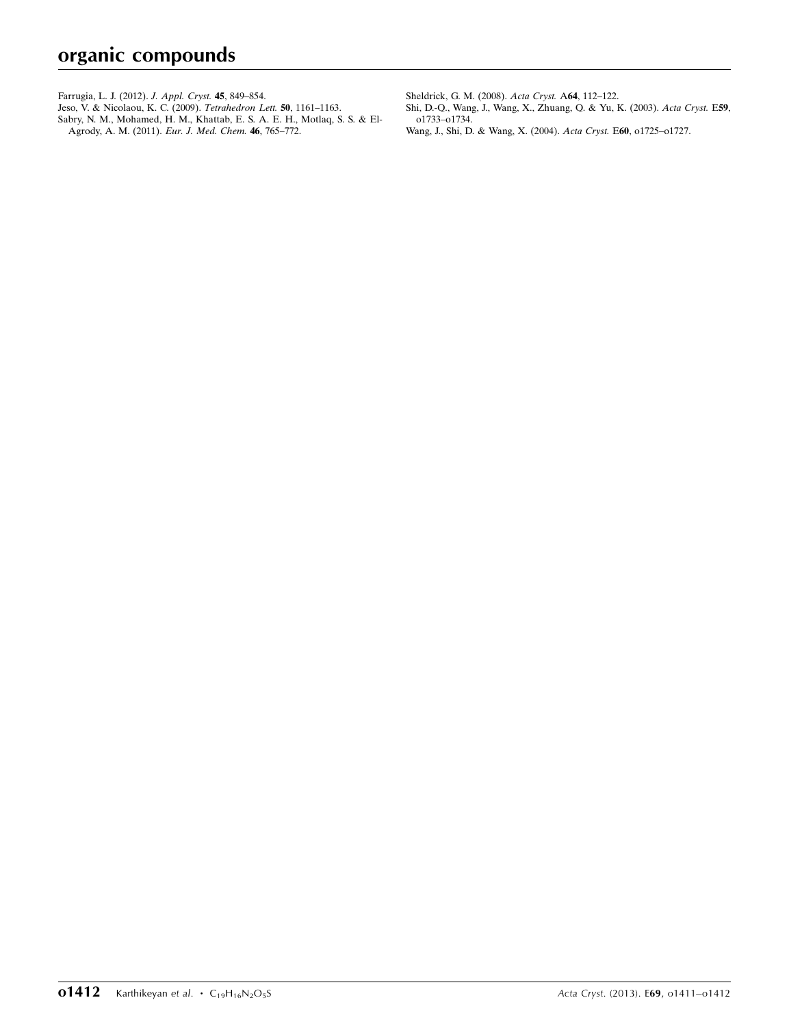[Farrugia, L. J. \(2012\).](http://scripts.iucr.org/cgi-bin/cr.cgi?rm=pdfbb&cnor=bx2447&bbid=BB8) J. Appl. Cryst. 45, 849–854.

- [Jeso, V. & Nicolaou, K. C. \(2009\).](http://scripts.iucr.org/cgi-bin/cr.cgi?rm=pdfbb&cnor=bx2447&bbid=BB9) Tetrahedron Lett. 50, 1161–1163.
- [Sabry, N. M., Mohamed, H. M., Khattab, E. S. A. E. H., Motlaq, S. S. & El-](http://scripts.iucr.org/cgi-bin/cr.cgi?rm=pdfbb&cnor=bx2447&bbid=BB10)
- [Agrody, A. M. \(2011\).](http://scripts.iucr.org/cgi-bin/cr.cgi?rm=pdfbb&cnor=bx2447&bbid=BB10) Eur. J. Med. Chem. 46, 765–772.

[Sheldrick, G. M. \(2008\).](http://scripts.iucr.org/cgi-bin/cr.cgi?rm=pdfbb&cnor=bx2447&bbid=BB11) Acta Cryst. A64, 112–122.

- [Shi, D.-Q., Wang, J., Wang, X., Zhuang, Q. & Yu, K. \(2003\).](http://scripts.iucr.org/cgi-bin/cr.cgi?rm=pdfbb&cnor=bx2447&bbid=BB12) Acta Cryst. E59, [o1733–o1734.](http://scripts.iucr.org/cgi-bin/cr.cgi?rm=pdfbb&cnor=bx2447&bbid=BB12)
- [Wang, J., Shi, D. & Wang, X. \(2004\).](http://scripts.iucr.org/cgi-bin/cr.cgi?rm=pdfbb&cnor=bx2447&bbid=BB13) Acta Cryst. E60, o1725–o1727.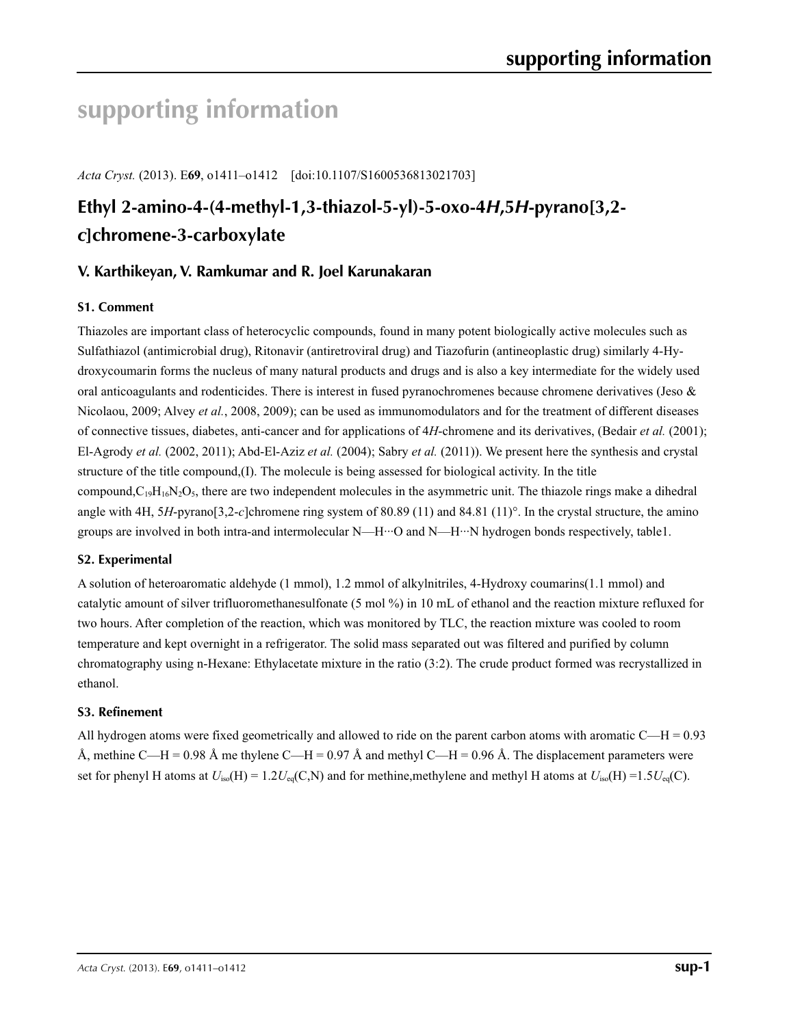# **supporting information**

*Acta Cryst.* (2013). E**69**, o1411–o1412 [doi:10.1107/S1600536813021703]

# **Ethyl 2-amino-4-(4-methyl-1,3-thiazol-5-yl)-5-oxo-4***H***,5***H***-pyrano[3,2** *c***]chromene-3-carboxylate**

# **V. Karthikeyan, V. Ramkumar and R. Joel Karunakaran**

# **S1. Comment**

Thiazoles are important class of heterocyclic compounds, found in many potent biologically active molecules such as Sulfathiazol (antimicrobial drug), Ritonavir (antiretroviral drug) and Tiazofurin (antineoplastic drug) similarly 4-Hydroxycoumarin forms the nucleus of many natural products and drugs and is also a key intermediate for the widely used oral anticoagulants and rodenticides. There is interest in fused pyranochromenes because chromene derivatives (Jeso & Nicolaou, 2009; Alvey *et al.*, 2008, 2009); can be used as immunomodulators and for the treatment of different diseases of connective tissues, diabetes, anti-cancer and for applications of 4*H*-chromene and its derivatives, (Bedair *et al.* (2001); El-Agrody *et al.* (2002, 2011); Abd-El-Aziz *et al.* (2004); Sabry *et al.* (2011)). We present here the synthesis and crystal structure of the title compound,(I). The molecule is being assessed for biological activity. In the title compound, $C_{19}H_{16}N_2O_5$ , there are two independent molecules in the asymmetric unit. The thiazole rings make a dihedral angle with 4H, 5*H*-pyrano[3,2-*c*]chromene ring system of 80.89 (11) and 84.81 (11)°. In the crystal structure, the amino groups are involved in both intra-and intermolecular N—H···O and N—H···N hydrogen bonds respectively, table1.

# **S2. Experimental**

A solution of heteroaromatic aldehyde (1 mmol), 1.2 mmol of alkylnitriles, 4-Hydroxy coumarins(1.1 mmol) and catalytic amount of silver trifluoromethanesulfonate (5 mol %) in 10 mL of ethanol and the reaction mixture refluxed for two hours. After completion of the reaction, which was monitored by TLC, the reaction mixture was cooled to room temperature and kept overnight in a refrigerator. The solid mass separated out was filtered and purified by column chromatography using n-Hexane: Ethylacetate mixture in the ratio (3:2). The crude product formed was recrystallized in ethanol.

## **S3. Refinement**

All hydrogen atoms were fixed geometrically and allowed to ride on the parent carbon atoms with aromatic C—H = 0.93 Å, methine C—H = 0.98 Å me thylene C—H = 0.97 Å and methyl C—H = 0.96 Å. The displacement parameters were set for phenyl H atoms at  $U_{iso}(H) = 1.2U_{eq}(C, N)$  and for methine,methylene and methyl H atoms at  $U_{iso}(H) = 1.5U_{eq}(C)$ .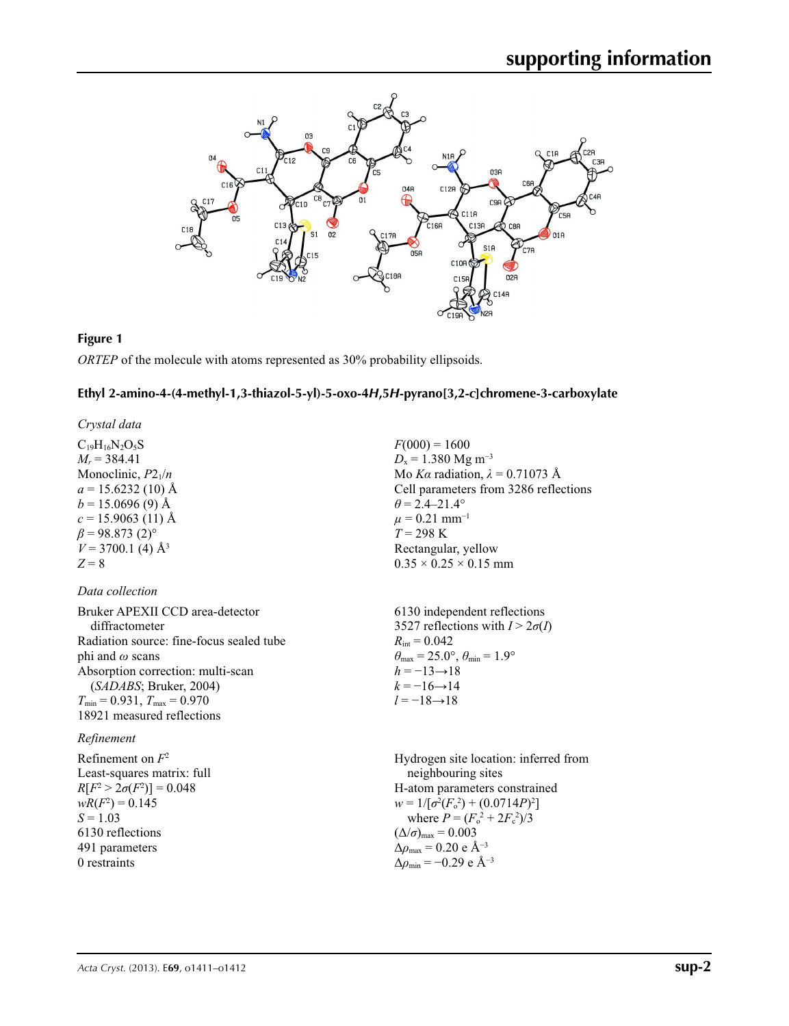

# **Figure 1**

*ORTEP* of the molecule with atoms represented as 30% probability ellipsoids.

## **Ethyl 2-amino-4-(4-methyl-1,3-thiazol-5-yl)-5-oxo-4***H***,5***H***-pyrano[3,2-***c***]chromene-3-carboxylate**

*Crystal data*

 $C_{19}H_{16}N_2O_5S$  $M_r$  = 384.41 Monoclinic,  $P2_1/n$  $a = 15.6232(10)$  Å  $b = 15.0696(9)$  Å  $c = 15.9063(11)$  Å  $\beta$  = 98.873 (2)<sup>o</sup>  $V = 3700.1$  (4)  $\AA^3$  $Z = 8$ 

## *Data collection*

Bruker APEXII CCD area-detector diffractometer Radiation source: fine-focus sealed tube phi and *ω* scans Absorption correction: multi-scan (*SADABS*; Bruker, 2004)  $T_{\text{min}} = 0.931$ ,  $T_{\text{max}} = 0.970$ 18921 measured reflections  $R_{\text{int}} = 0.042$  $\theta_{\text{max}} = 25.0^{\circ}, \theta_{\text{min}} = 1.9^{\circ}$  $h = -13 \rightarrow 18$  $k = -16 \rightarrow 14$  $l = -18 \rightarrow 18$ 

## *Refinement*

Refinement on *F*<sup>2</sup> Least-squares matrix: full  $R[F^2 > 2\sigma(F^2)] = 0.048$  $wR(F^2) = 0.145$  $S = 1.03$ 6130 reflections 491 parameters 0 restraints neighbouring sites  $w = 1/[\sigma^2 (F_o^2) + (0.0714P)^2]$ where  $P = (F_o^2 + 2F_c^2)/3$  $(\Delta/\sigma)_{\text{max}} = 0.003$  $Δρ<sub>max</sub> = 0.20 e Å<sup>-3</sup>$  $\Delta\rho_{\text{min}} = -0.29$  e Å<sup>-3</sup>

 $F(000) = 1600$  $D_x = 1.380$  Mg m<sup>-3</sup> Mo *Kα* radiation,  $\lambda = 0.71073$  Å Cell parameters from 3286 reflections  $\theta$  = 2.4–21.4°  $\mu$  = 0.21 mm<sup>-1</sup>  $T = 298 \text{ K}$ Rectangular, yellow  $0.35 \times 0.25 \times 0.15$  mm

6130 independent reflections 3527 reflections with  $I > 2\sigma(I)$ 

Hydrogen site location: inferred from H-atom parameters constrained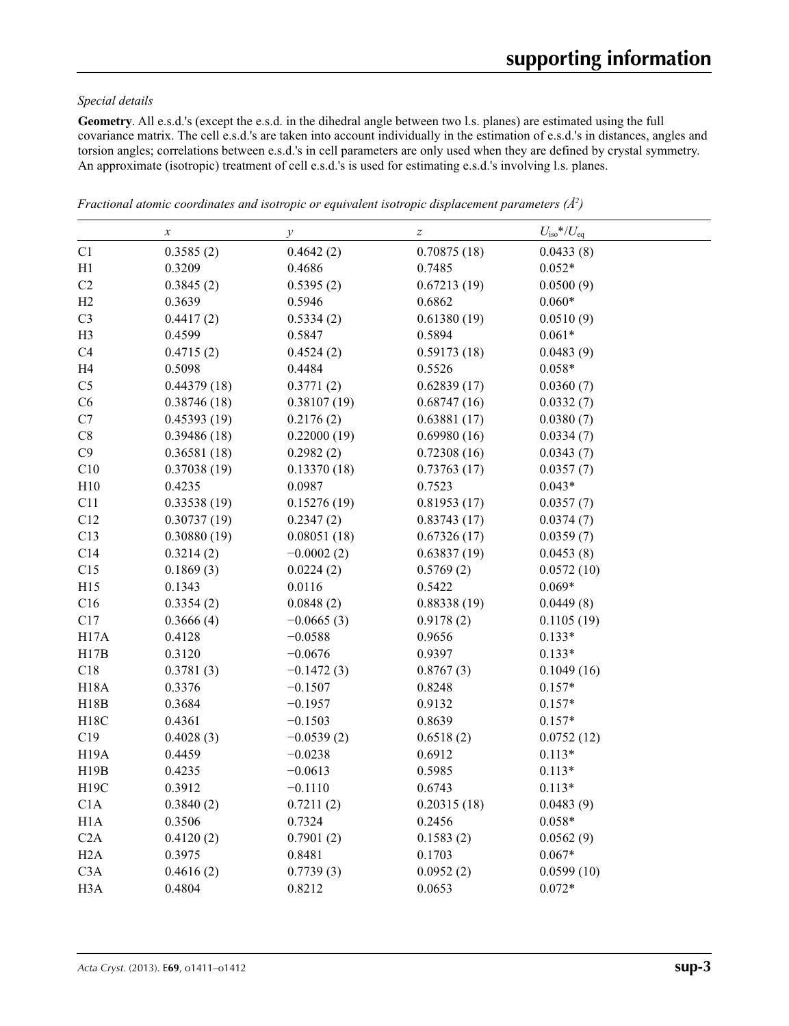# *Special details*

**Geometry**. All e.s.d.'s (except the e.s.d. in the dihedral angle between two l.s. planes) are estimated using the full covariance matrix. The cell e.s.d.'s are taken into account individually in the estimation of e.s.d.'s in distances, angles and torsion angles; correlations between e.s.d.'s in cell parameters are only used when they are defined by crystal symmetry. An approximate (isotropic) treatment of cell e.s.d.'s is used for estimating e.s.d.'s involving l.s. planes.

|                   | $\boldsymbol{x}$ | $\mathcal{Y}$ | $\boldsymbol{Z}$ | $U_{\text{iso}}$ */ $U_{\text{eq}}$ |  |
|-------------------|------------------|---------------|------------------|-------------------------------------|--|
| C1                | 0.3585(2)        | 0.4642(2)     | 0.70875(18)      | 0.0433(8)                           |  |
| H1                | 0.3209           | 0.4686        | 0.7485           | $0.052*$                            |  |
| C2                | 0.3845(2)        | 0.5395(2)     | 0.67213(19)      | 0.0500(9)                           |  |
| H2                | 0.3639           | 0.5946        | 0.6862           | $0.060*$                            |  |
| C <sub>3</sub>    | 0.4417(2)        | 0.5334(2)     | 0.61380(19)      | 0.0510(9)                           |  |
| H3                | 0.4599           | 0.5847        | 0.5894           | $0.061*$                            |  |
| C4                | 0.4715(2)        | 0.4524(2)     | 0.59173(18)      | 0.0483(9)                           |  |
| H <sub>4</sub>    | 0.5098           | 0.4484        | 0.5526           | $0.058*$                            |  |
| C <sub>5</sub>    | 0.44379(18)      | 0.3771(2)     | 0.62839(17)      | 0.0360(7)                           |  |
| C6                | 0.38746(18)      | 0.38107(19)   | 0.68747(16)      | 0.0332(7)                           |  |
| C7                | 0.45393(19)      | 0.2176(2)     | 0.63881(17)      | 0.0380(7)                           |  |
| C8                | 0.39486(18)      | 0.22000(19)   | 0.69980(16)      | 0.0334(7)                           |  |
| C9                | 0.36581(18)      | 0.2982(2)     | 0.72308(16)      | 0.0343(7)                           |  |
| C10               | 0.37038(19)      | 0.13370(18)   | 0.73763(17)      | 0.0357(7)                           |  |
| H10               | 0.4235           | 0.0987        | 0.7523           | $0.043*$                            |  |
| C11               | 0.33538(19)      | 0.15276(19)   | 0.81953(17)      | 0.0357(7)                           |  |
| C12               | 0.30737(19)      | 0.2347(2)     | 0.83743(17)      | 0.0374(7)                           |  |
| C13               | 0.30880(19)      | 0.08051(18)   | 0.67326(17)      | 0.0359(7)                           |  |
| C14               | 0.3214(2)        | $-0.0002(2)$  | 0.63837(19)      | 0.0453(8)                           |  |
| C15               | 0.1869(3)        | 0.0224(2)     | 0.5769(2)        | 0.0572(10)                          |  |
| H15               | 0.1343           | 0.0116        | 0.5422           | $0.069*$                            |  |
| C16               | 0.3354(2)        | 0.0848(2)     | 0.88338(19)      | 0.0449(8)                           |  |
| C17               | 0.3666(4)        | $-0.0665(3)$  | 0.9178(2)        | 0.1105(19)                          |  |
| H17A              | 0.4128           | $-0.0588$     | 0.9656           | $0.133*$                            |  |
| H17B              | 0.3120           | $-0.0676$     | 0.9397           | $0.133*$                            |  |
| C18               | 0.3781(3)        | $-0.1472(3)$  | 0.8767(3)        | 0.1049(16)                          |  |
| <b>H18A</b>       | 0.3376           | $-0.1507$     | 0.8248           | $0.157*$                            |  |
| H18B              | 0.3684           | $-0.1957$     | 0.9132           | $0.157*$                            |  |
| H18C              | 0.4361           | $-0.1503$     | 0.8639           | $0.157*$                            |  |
| C19               | 0.4028(3)        | $-0.0539(2)$  | 0.6518(2)        | 0.0752(12)                          |  |
| H <sub>19</sub> A | 0.4459           | $-0.0238$     | 0.6912           | $0.113*$                            |  |
| H19B              | 0.4235           | $-0.0613$     | 0.5985           | $0.113*$                            |  |
| H19C              | 0.3912           | $-0.1110$     | 0.6743           | $0.113*$                            |  |
| C1A               | 0.3840(2)        | 0.7211(2)     | 0.20315(18)      | 0.0483(9)                           |  |
| H1A               | 0.3506           | 0.7324        | 0.2456           | $0.058*$                            |  |
| C2A               | 0.4120(2)        | 0.7901(2)     | 0.1583(2)        | 0.0562(9)                           |  |
| H2A               | 0.3975           | 0.8481        | 0.1703           | $0.067*$                            |  |
| C <sub>3</sub> A  | 0.4616(2)        | 0.7739(3)     | 0.0952(2)        | 0.0599(10)                          |  |
| H <sub>3</sub> A  | 0.4804           | 0.8212        | 0.0653           | $0.072*$                            |  |

*Fractional atomic coordinates and isotropic or equivalent isotropic displacement parameters (Å<sup>2</sup>)*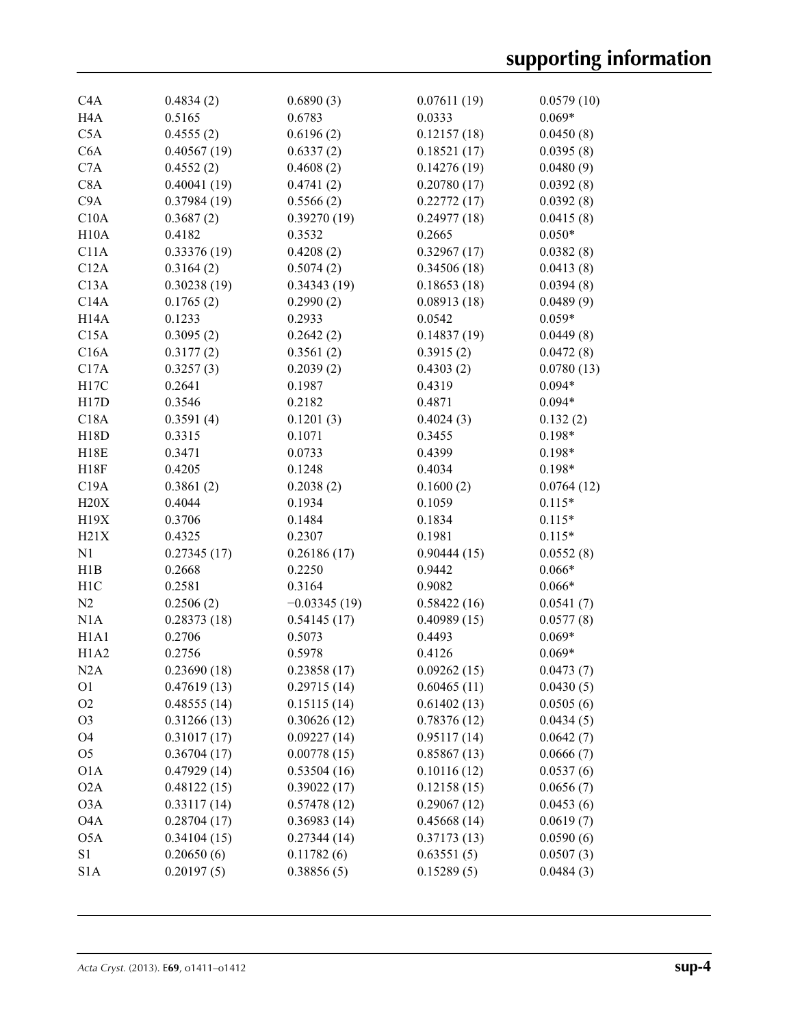| C <sub>4</sub> A              | 0.4834(2)   | 0.6890(3)      | 0.07611(19) | 0.0579(10) |
|-------------------------------|-------------|----------------|-------------|------------|
| H <sub>4</sub> A              | 0.5165      | 0.6783         | 0.0333      | $0.069*$   |
| C5A                           | 0.4555(2)   | 0.6196(2)      | 0.12157(18) | 0.0450(8)  |
| C <sub>6</sub> A              | 0.40567(19) | 0.6337(2)      | 0.18521(17) | 0.0395(8)  |
| C7A                           | 0.4552(2)   | 0.4608(2)      | 0.14276(19) | 0.0480(9)  |
| C8A                           | 0.40041(19) | 0.4741(2)      | 0.20780(17) | 0.0392(8)  |
| C9A                           | 0.37984(19) | 0.5566(2)      | 0.22772(17) | 0.0392(8)  |
| C10A                          | 0.3687(2)   | 0.39270(19)    | 0.24977(18) | 0.0415(8)  |
| H10A                          | 0.4182      | 0.3532         | 0.2665      | $0.050*$   |
| C11A                          | 0.33376(19) | 0.4208(2)      | 0.32967(17) | 0.0382(8)  |
| C12A                          | 0.3164(2)   | 0.5074(2)      | 0.34506(18) | 0.0413(8)  |
| C13A                          | 0.30238(19) | 0.34343(19)    | 0.18653(18) | 0.0394(8)  |
| C14A                          | 0.1765(2)   | 0.2990(2)      | 0.08913(18) | 0.0489(9)  |
| H14A                          | 0.1233      | 0.2933         | 0.0542      | $0.059*$   |
| C15A                          | 0.3095(2)   | 0.2642(2)      | 0.14837(19) | 0.0449(8)  |
| C16A                          | 0.3177(2)   | 0.3561(2)      | 0.3915(2)   | 0.0472(8)  |
| C17A                          | 0.3257(3)   | 0.2039(2)      | 0.4303(2)   | 0.0780(13) |
| H17C                          | 0.2641      | 0.1987         | 0.4319      | $0.094*$   |
| H17D                          | 0.3546      | 0.2182         | 0.4871      | $0.094*$   |
| C18A                          | 0.3591(4)   | 0.1201(3)      | 0.4024(3)   | 0.132(2)   |
| H18D                          | 0.3315      | 0.1071         | 0.3455      | $0.198*$   |
| H18E                          | 0.3471      | 0.0733         | 0.4399      | $0.198*$   |
| H18F                          | 0.4205      | 0.1248         | 0.4034      | $0.198*$   |
| C19A                          | 0.3861(2)   | 0.2038(2)      | 0.1600(2)   | 0.0764(12) |
| H20X                          | 0.4044      | 0.1934         | 0.1059      | $0.115*$   |
| H19X                          | 0.3706      | 0.1484         | 0.1834      | $0.115*$   |
| H21X                          | 0.4325      | 0.2307         | 0.1981      | $0.115*$   |
| N1                            | 0.27345(17) | 0.26186(17)    | 0.90444(15) | 0.0552(8)  |
| H1B                           | 0.2668      | 0.2250         | 0.9442      | $0.066*$   |
| H <sub>1</sub> C              | 0.2581      | 0.3164         | 0.9082      | $0.066*$   |
| N2                            | 0.2506(2)   | $-0.03345(19)$ | 0.58422(16) | 0.0541(7)  |
| N1A                           | 0.28373(18) | 0.54145(17)    | 0.40989(15) | 0.0577(8)  |
| H <sub>1</sub> A <sub>1</sub> | 0.2706      | 0.5073         | 0.4493      | $0.069*$   |
| H <sub>1</sub> A <sub>2</sub> | 0.2756      | 0.5978         | 0.4126      | $0.069*$   |
| N2A                           | 0.23690(18) | 0.23858(17)    | 0.09262(15) | 0.0473(7)  |
| O1                            | 0.47619(13) | 0.29715(14)    | 0.60465(11) | 0.0430(5)  |
| O <sub>2</sub>                | 0.48555(14) | 0.15115(14)    | 0.61402(13) | 0.0505(6)  |
| O <sub>3</sub>                | 0.31266(13) | 0.30626(12)    | 0.78376(12) | 0.0434(5)  |
| O <sub>4</sub>                | 0.31017(17) | 0.09227(14)    | 0.95117(14) | 0.0642(7)  |
| O <sub>5</sub>                | 0.36704(17) | 0.00778(15)    | 0.85867(13) | 0.0666(7)  |
| O1A                           | 0.47929(14) | 0.53504(16)    | 0.10116(12) | 0.0537(6)  |
| O2A                           | 0.48122(15) | 0.39022(17)    | 0.12158(15) | 0.0656(7)  |
| O3A                           | 0.33117(14) | 0.57478(12)    | 0.29067(12) | 0.0453(6)  |
| O <sub>4</sub> A              | 0.28704(17) | 0.36983(14)    | 0.45668(14) | 0.0619(7)  |
| O <sub>5</sub> A              | 0.34104(15) | 0.27344(14)    | 0.37173(13) | 0.0590(6)  |
| S1                            | 0.20650(6)  | 0.11782(6)     | 0.63551(5)  | 0.0507(3)  |
| S1A                           | 0.20197(5)  | 0.38856(5)     | 0.15289(5)  | 0.0484(3)  |
|                               |             |                |             |            |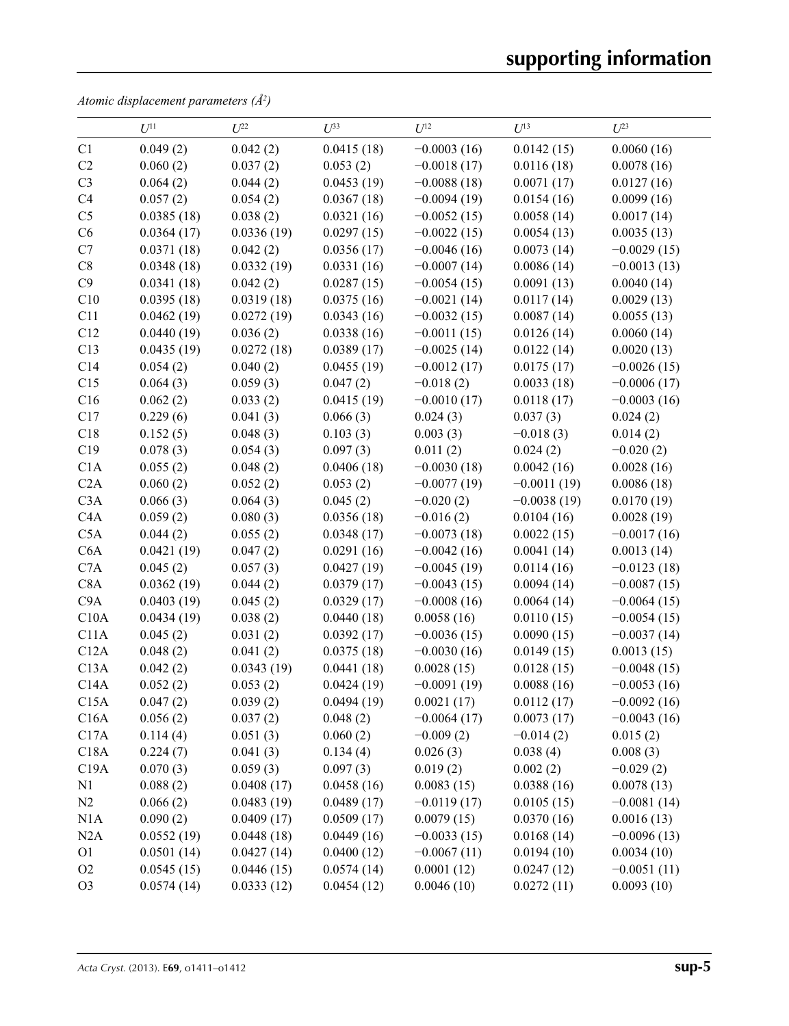*Atomic displacement parameters (Å2 )*

|                | $U^{11}$   | $U^{22}$   | $U^{33}$   | $U^{12}$      | $U^{13}$      | $U^{23}$      |
|----------------|------------|------------|------------|---------------|---------------|---------------|
| C1             | 0.049(2)   | 0.042(2)   | 0.0415(18) | $-0.0003(16)$ | 0.0142(15)    | 0.0060(16)    |
| $\rm{C2}$      | 0.060(2)   | 0.037(2)   | 0.053(2)   | $-0.0018(17)$ | 0.0116(18)    | 0.0078(16)    |
| C <sub>3</sub> | 0.064(2)   | 0.044(2)   | 0.0453(19) | $-0.0088(18)$ | 0.0071(17)    | 0.0127(16)    |
| C4             | 0.057(2)   | 0.054(2)   | 0.0367(18) | $-0.0094(19)$ | 0.0154(16)    | 0.0099(16)    |
| C <sub>5</sub> | 0.0385(18) | 0.038(2)   | 0.0321(16) | $-0.0052(15)$ | 0.0058(14)    | 0.0017(14)    |
| C6             | 0.0364(17) | 0.0336(19) | 0.0297(15) | $-0.0022(15)$ | 0.0054(13)    | 0.0035(13)    |
| C7             | 0.0371(18) | 0.042(2)   | 0.0356(17) | $-0.0046(16)$ | 0.0073(14)    | $-0.0029(15)$ |
| C8             | 0.0348(18) | 0.0332(19) | 0.0331(16) | $-0.0007(14)$ | 0.0086(14)    | $-0.0013(13)$ |
| C9             | 0.0341(18) | 0.042(2)   | 0.0287(15) | $-0.0054(15)$ | 0.0091(13)    | 0.0040(14)    |
| C10            | 0.0395(18) | 0.0319(18) | 0.0375(16) | $-0.0021(14)$ | 0.0117(14)    | 0.0029(13)    |
| C11            | 0.0462(19) | 0.0272(19) | 0.0343(16) | $-0.0032(15)$ | 0.0087(14)    | 0.0055(13)    |
| C12            | 0.0440(19) | 0.036(2)   | 0.0338(16) | $-0.0011(15)$ | 0.0126(14)    | 0.0060(14)    |
| C13            | 0.0435(19) | 0.0272(18) | 0.0389(17) | $-0.0025(14)$ | 0.0122(14)    | 0.0020(13)    |
| C14            | 0.054(2)   | 0.040(2)   | 0.0455(19) | $-0.0012(17)$ | 0.0175(17)    | $-0.0026(15)$ |
| C15            | 0.064(3)   | 0.059(3)   | 0.047(2)   | $-0.018(2)$   | 0.0033(18)    | $-0.0006(17)$ |
| C16            | 0.062(2)   | 0.033(2)   | 0.0415(19) | $-0.0010(17)$ | 0.0118(17)    | $-0.0003(16)$ |
| C17            | 0.229(6)   | 0.041(3)   | 0.066(3)   | 0.024(3)      | 0.037(3)      | 0.024(2)      |
| C18            | 0.152(5)   | 0.048(3)   | 0.103(3)   | 0.003(3)      | $-0.018(3)$   | 0.014(2)      |
| C19            | 0.078(3)   | 0.054(3)   | 0.097(3)   | 0.011(2)      | 0.024(2)      | $-0.020(2)$   |
| C1A            | 0.055(2)   | 0.048(2)   | 0.0406(18) | $-0.0030(18)$ | 0.0042(16)    | 0.0028(16)    |
| C2A            | 0.060(2)   | 0.052(2)   | 0.053(2)   | $-0.0077(19)$ | $-0.0011(19)$ | 0.0086(18)    |
| C3A            | 0.066(3)   | 0.064(3)   | 0.045(2)   | $-0.020(2)$   | $-0.0038(19)$ | 0.0170(19)    |
| C4A            | 0.059(2)   | 0.080(3)   | 0.0356(18) | $-0.016(2)$   | 0.0104(16)    | 0.0028(19)    |
| C5A            | 0.044(2)   | 0.055(2)   | 0.0348(17) | $-0.0073(18)$ | 0.0022(15)    | $-0.0017(16)$ |
| C6A            | 0.0421(19) | 0.047(2)   | 0.0291(16) | $-0.0042(16)$ | 0.0041(14)    | 0.0013(14)    |
| C7A            | 0.045(2)   | 0.057(3)   | 0.0427(19) | $-0.0045(19)$ | 0.0114(16)    | $-0.0123(18)$ |
| C8A            | 0.0362(19) | 0.044(2)   | 0.0379(17) | $-0.0043(15)$ | 0.0094(14)    | $-0.0087(15)$ |
| C9A            | 0.0403(19) | 0.045(2)   | 0.0329(17) | $-0.0008(16)$ | 0.0064(14)    | $-0.0064(15)$ |
| C10A           | 0.0434(19) | 0.038(2)   | 0.0440(18) | 0.0058(16)    | 0.0110(15)    | $-0.0054(15)$ |
| C11A           | 0.045(2)   | 0.031(2)   | 0.0392(17) | $-0.0036(15)$ | 0.0090(15)    | $-0.0037(14)$ |
| C12A           | 0.048(2)   | 0.041(2)   | 0.0375(18) | $-0.0030(16)$ | 0.0149(15)    | 0.0013(15)    |
| C13A           | 0.042(2)   | 0.0343(19) | 0.0441(18) | 0.0028(15)    | 0.0128(15)    | $-0.0048(15)$ |
| C14A           | 0.052(2)   | 0.053(2)   | 0.0424(19) | $-0.0091(19)$ | 0.0088(16)    | $-0.0053(16)$ |
| C15A           | 0.047(2)   | 0.039(2)   | 0.0494(19) | 0.0021(17)    | 0.0112(17)    | $-0.0092(16)$ |
| C16A           | 0.056(2)   | 0.037(2)   | 0.048(2)   | $-0.0064(17)$ | 0.0073(17)    | $-0.0043(16)$ |
| C17A           | 0.114(4)   | 0.051(3)   | 0.060(2)   | $-0.009(2)$   | $-0.014(2)$   | 0.015(2)      |
| C18A           | 0.224(7)   | 0.041(3)   | 0.134(4)   | 0.026(3)      | 0.038(4)      | 0.008(3)      |
| C19A           | 0.070(3)   | 0.059(3)   | 0.097(3)   | 0.019(2)      | 0.002(2)      | $-0.029(2)$   |
| N1             | 0.088(2)   | 0.0408(17) | 0.0458(16) | 0.0083(15)    | 0.0388(16)    | 0.0078(13)    |
| N2             | 0.066(2)   | 0.0483(19) | 0.0489(17) | $-0.0119(17)$ | 0.0105(15)    | $-0.0081(14)$ |
| N1A            | 0.090(2)   | 0.0409(17) | 0.0509(17) | 0.0079(15)    | 0.0370(16)    | 0.0016(13)    |
| N2A            | 0.0552(19) | 0.0448(18) | 0.0449(16) | $-0.0033(15)$ | 0.0168(14)    | $-0.0096(13)$ |
| O <sub>1</sub> | 0.0501(14) | 0.0427(14) | 0.0400(12) | $-0.0067(11)$ | 0.0194(10)    | 0.0034(10)    |
| O2             | 0.0545(15) | 0.0446(15) | 0.0574(14) | 0.0001(12)    | 0.0247(12)    | $-0.0051(11)$ |
| O <sub>3</sub> | 0.0574(14) | 0.0333(12) | 0.0454(12) | 0.0046(10)    | 0.0272(11)    | 0.0093(10)    |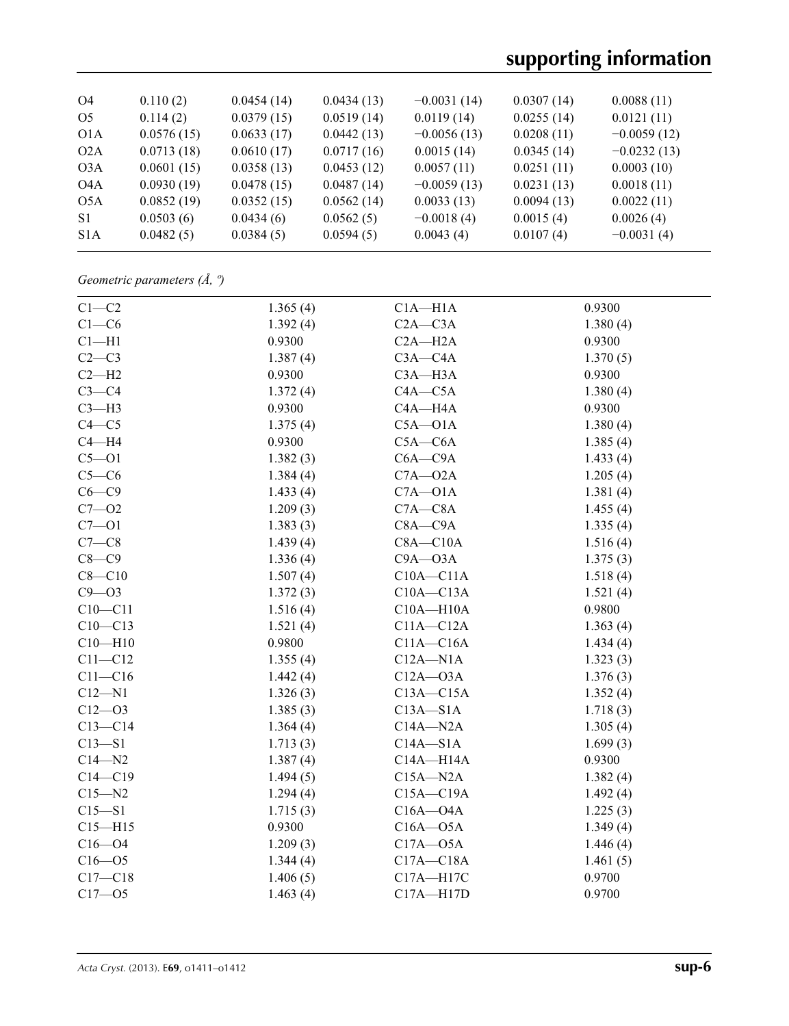# **supporting information**

| O4               | 0.110(2)   | 0.0454(14) | 0.0434(13) | $-0.0031(14)$ | 0.0307(14) | 0.0088(11)    |
|------------------|------------|------------|------------|---------------|------------|---------------|
| O <sub>5</sub>   | 0.114(2)   | 0.0379(15) | 0.0519(14) | 0.0119(14)    | 0.0255(14) | 0.0121(11)    |
| O1A              | 0.0576(15) | 0.0633(17) | 0.0442(13) | $-0.0056(13)$ | 0.0208(11) | $-0.0059(12)$ |
| O <sub>2</sub> A | 0.0713(18) | 0.0610(17) | 0.0717(16) | 0.0015(14)    | 0.0345(14) | $-0.0232(13)$ |
| O <sub>3</sub> A | 0.0601(15) | 0.0358(13) | 0.0453(12) | 0.0057(11)    | 0.0251(11) | 0.0003(10)    |
| O <sub>4</sub> A | 0.0930(19) | 0.0478(15) | 0.0487(14) | $-0.0059(13)$ | 0.0231(13) | 0.0018(11)    |
| O5A              | 0.0852(19) | 0.0352(15) | 0.0562(14) | 0.0033(13)    | 0.0094(13) | 0.0022(11)    |
| S <sub>1</sub>   | 0.0503(6)  | 0.0434(6)  | 0.0562(5)  | $-0.0018(4)$  | 0.0015(4)  | 0.0026(4)     |
| S1A              | 0.0482(5)  | 0.0384(5)  | 0.0594(5)  | 0.0043(4)     | 0.0107(4)  | $-0.0031(4)$  |
|                  |            |            |            |               |            |               |

*Geometric parameters (Å, º)*

| $C1-C2$     | 1.365(4) | $C1A - H1A$   | 0.9300   |
|-------------|----------|---------------|----------|
| $C1-C6$     | 1.392(4) | $C2A - C3A$   | 1.380(4) |
| $Cl-H1$     | 0.9300   | $C2A - H2A$   | 0.9300   |
| $C2-C3$     | 1.387(4) | $C3A - C4A$   | 1.370(5) |
| $C2-H2$     | 0.9300   | $C3A - H3A$   | 0.9300   |
| $C3-C4$     | 1.372(4) | $C4A - C5A$   | 1.380(4) |
| $C3-H3$     | 0.9300   | $C4A - H4A$   | 0.9300   |
| $C4 - C5$   | 1.375(4) | $C5A - O1A$   | 1.380(4) |
| $C4 - H4$   | 0.9300   | $C5A - C6A$   | 1.385(4) |
| $C5 - O1$   | 1.382(3) | $C6A - C9A$   | 1.433(4) |
| $C5-C6$     | 1.384(4) | $C7A - O2A$   | 1.205(4) |
| $C6-C9$     | 1.433(4) | $C7A - O1A$   | 1.381(4) |
| $C7 - 02$   | 1.209(3) | $C7A - C8A$   | 1.455(4) |
| $C7 - 01$   | 1.383(3) | $C8A - C9A$   | 1.335(4) |
| $C7-C8$     | 1.439(4) | $C8A - C10A$  | 1.516(4) |
| $C8-C9$     | 1.336(4) | $C9A - O3A$   | 1.375(3) |
| $C8 - C10$  | 1.507(4) | $C10A - C11A$ | 1.518(4) |
| $C9 - O3$   | 1.372(3) | $C10A - C13A$ | 1.521(4) |
| $C10 - C11$ | 1.516(4) | $C10A - H10A$ | 0.9800   |
| $C10 - C13$ | 1.521(4) | $C11A - C12A$ | 1.363(4) |
| $C10 - H10$ | 0.9800   | $C11A - C16A$ | 1.434(4) |
| $C11 - C12$ | 1.355(4) | $C12A - N1A$  | 1.323(3) |
| $C11 - C16$ | 1.442(4) | $C12A - O3A$  | 1.376(3) |
| $C12 - N1$  | 1.326(3) | $C13A - C15A$ | 1.352(4) |
| $C12 - 03$  | 1.385(3) | $C13A - S1A$  | 1.718(3) |
| $C13-C14$   | 1.364(4) | $C14A - N2A$  | 1.305(4) |
| $C13 - S1$  | 1.713(3) | $C14A - S1A$  | 1.699(3) |
| $C14 - N2$  | 1.387(4) | C14A-H14A     | 0.9300   |
| $C14 - C19$ | 1.494(5) | $C15A - N2A$  | 1.382(4) |
| $C15 - N2$  | 1.294(4) | $C15A - C19A$ | 1.492(4) |
| $C15 - S1$  | 1.715(3) | $C16A - O4A$  | 1.225(3) |
| $C15 - H15$ | 0.9300   | $C16A - O5A$  | 1.349(4) |
| $C16 - 04$  | 1.209(3) | $C17A - 05A$  | 1.446(4) |
| $C16 - 05$  | 1.344(4) | $C17A - C18A$ | 1.461(5) |
| $C17 - C18$ | 1.406(5) | C17A-H17C     | 0.9700   |
| $C17 - 05$  | 1.463(4) | $C17A - H17D$ | 0.9700   |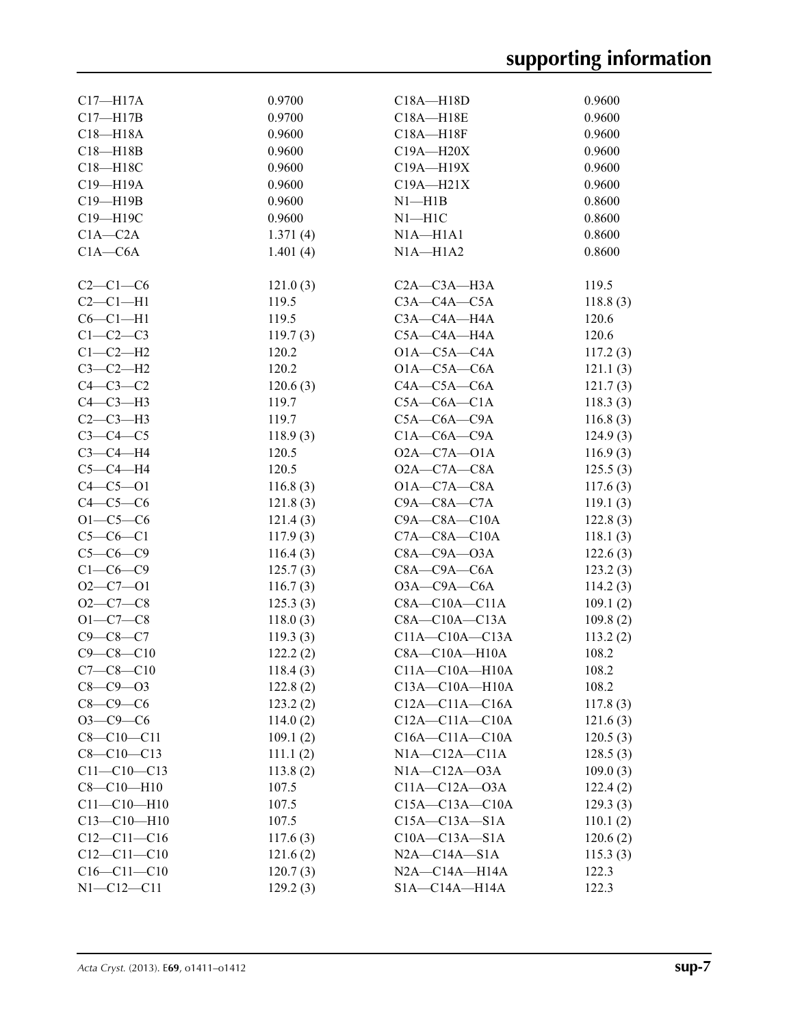| $C17 - H17A$                          | 0.9700   | C18A-H18D                                    | 0.9600   |
|---------------------------------------|----------|----------------------------------------------|----------|
| $C17 - H17B$                          | 0.9700   | C18A-H18E                                    | 0.9600   |
| $C18 - H18A$                          | 0.9600   | $C18A - H18F$                                | 0.9600   |
| $C18 - H18B$                          | 0.9600   | $C19A - H20X$                                | 0.9600   |
| C18-H18C                              | 0.9600   | $C19A - H19X$                                | 0.9600   |
| C19-H19A                              | 0.9600   | $C19A - H21X$                                | 0.9600   |
| C19-H19B                              | 0.9600   | $N1 - H1B$                                   | 0.8600   |
| C19-H19C                              | 0.9600   | $N1 - H1C$                                   | 0.8600   |
| $C1A - C2A$                           | 1.371(4) | $NIA - H1A1$                                 | 0.8600   |
| $C1A - C6A$                           | 1.401(4) | NIA–H1A2                                     | 0.8600   |
|                                       |          |                                              |          |
| $C2-C1-C6$                            | 121.0(3) | $C2A - C3A - H3A$                            | 119.5    |
| $C2-C1-H1$                            | 119.5    | $C3A - C4A - C5A$                            | 118.8(3) |
| $C6-C1-H1$                            | 119.5    | C3A-C4A-H4A                                  | 120.6    |
| $C1-C2-C3$                            | 119.7(3) | C5A-C4A-H4A                                  | 120.6    |
| $C1-C2-H2$                            | 120.2    | $O1A - C5A - C4A$                            | 117.2(3) |
| $C3-C2-H2$                            | 120.2    | $O1A - C5A - C6A$                            | 121.1(3) |
| $C4-C3-C2$                            | 120.6(3) | $C4A - C5A - C6A$                            | 121.7(3) |
| $C4-C3-H3$                            | 119.7    | $C5A-C6A-C1A$                                | 118.3(3) |
| $C2-C3-H3$                            | 119.7    | $C5A - C6A - C9A$                            | 116.8(3) |
| $C3-C4-C5$                            | 118.9(3) | $C1A - C6A - C9A$                            | 124.9(3) |
| $C3-C4-H4$                            | 120.5    | $O2A - C7A - O1A$                            | 116.9(3) |
| $C5-C4-H4$                            | 120.5    | $O2A - C7A - C8A$                            | 125.5(3) |
| $C4 - C5 - O1$                        | 116.8(3) | $O1A - C7A - C8A$                            | 117.6(3) |
| $C4-C5-C6$                            | 121.8(3) | $C9A - C8A - C7A$                            | 119.1(3) |
| $O1 - C5 - C6$                        | 121.4(3) | $C9A - C8A - C10A$                           | 122.8(3) |
| $C5-C6-C1$                            | 117.9(3) | $C7A - C8A - C10A$                           | 118.1(3) |
| $C5-C6-C9$                            | 116.4(3) | $C8A - C9A - O3A$                            | 122.6(3) |
| $C1-C6-C9$                            | 125.7(3) | $C8A - C9A - C6A$                            | 123.2(3) |
| $O2 - C7 - O1$                        | 116.7(3) | O3A-C9A-C6A                                  | 114.2(3) |
| $O2 - C7 - C8$                        | 125.3(3) | $C8A - C10A - C11A$                          | 109.1(2) |
| $O1 - C7 - C8$                        | 118.0(3) | $C8A - C10A - C13A$                          | 109.8(2) |
| $C9 - C8 - C7$                        | 119.3(3) | $C11A - C10A - C13A$                         | 113.2(2) |
| $C9 - C8 - C10$                       | 122.2(2) | $C8A - C10A - H10A$                          | 108.2    |
| $C7 - C8 - C10$                       | 118.4(3) | $C11A - C10A - H10A$                         | 108.2    |
| $C8 - C9 - O3$                        | 122.8(2) |                                              |          |
| $C8 - C9 - C6$                        |          | $C13A - C10A - H10A$<br>$C12A - C11A - C16A$ | 108.2    |
| $O3 - C9 - C6$                        | 123.2(2) | $C12A - C11A - C10A$                         | 117.8(3) |
| $C8 - C10 - C11$                      | 114.0(2) |                                              | 121.6(3) |
|                                       | 109.1(2) | $C16A - C11A - C10A$                         | 120.5(3) |
| $C8 - C10 - C13$                      | 111.1(2) | $NIA$ — $C12A$ — $C11A$                      | 128.5(3) |
| $C11 - C10 - C13$<br>$C8 - C10 - H10$ | 113.8(2) | $NIA$ $-CI2A$ $-O3A$                         | 109.0(3) |
|                                       | 107.5    | $C11A - C12A - 03A$                          | 122.4(2) |
| $C11 - C10 - H10$                     | 107.5    | $C15A - C13A - C10A$                         | 129.3(3) |
| $C13 - C10 - H10$                     | 107.5    | $C15A - C13A - S1A$                          | 110.1(2) |
| $C12 - C11 - C16$                     | 117.6(3) | $C10A - C13A - S1A$                          | 120.6(2) |
| $C12 - C11 - C10$                     | 121.6(2) | $N2A - C14A - S1A$                           | 115.3(3) |
| $C16 - C11 - C10$                     | 120.7(3) | $N2A - C14A - H14A$                          | 122.3    |
| $N1 - C12 - C11$                      | 129.2(3) | $SIA - Cl4A - H14A$                          | 122.3    |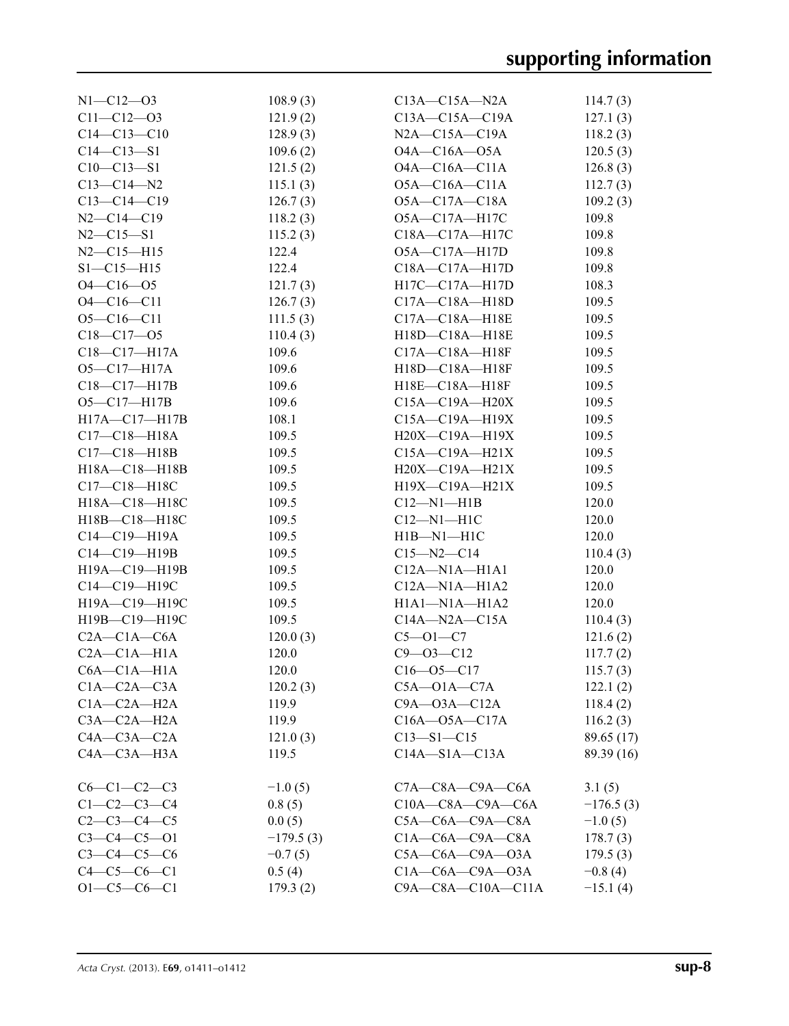| $N1 - C12 - 03$     | 108.9(3)    | C13A-C15A-N2A             | 114.7(3)    |
|---------------------|-------------|---------------------------|-------------|
| $C11 - C12 - 03$    | 121.9(2)    | $C13A - C15A - C19A$      | 127.1(3)    |
| $C14 - C13 - C10$   | 128.9(3)    | $N2A - C15A - C19A$       | 118.2(3)    |
| $C14 - C13 - S1$    | 109.6(2)    | $O4A - C16A - O5A$        | 120.5(3)    |
| $C10-C13-S1$        | 121.5(2)    | $O4A - C16A - C11A$       | 126.8(3)    |
| $C13 - C14 - N2$    | 115.1(3)    | $O5A - C16A - C11A$       | 112.7(3)    |
| $C13 - C14 - C19$   | 126.7(3)    | $O5A - C17A - C18A$       | 109.2(3)    |
| $N2 - C14 - C19$    | 118.2(3)    | O5A-C17A-H17C             | 109.8       |
| $N2 - C15 - S1$     | 115.2(3)    | C18A-C17A-H17C            | 109.8       |
| $N2 - C15 - H15$    | 122.4       | O5A-C17A-H17D             | 109.8       |
| $S1 - C15 - H15$    | 122.4       | $C18A - C17A - H17D$      | 109.8       |
| $O4 - C16 - O5$     | 121.7(3)    | $H17C-C17A-H17D$          | 108.3       |
| $O4 - C16 - C11$    | 126.7(3)    | C17A-C18A-H18D            | 109.5       |
| $O5 - C16 - C11$    | 111.5(3)    | C17A-C18A-H18E            | 109.5       |
| $C18 - C17 - 05$    | 110.4(3)    | H18D-C18A-H18E            | 109.5       |
| $C18 - C17 - H17A$  | 109.6       | C17A-C18A-H18F            | 109.5       |
| O5-C17-H17A         | 109.6       | H18D-C18A-H18F            | 109.5       |
| $C18 - C17 - H17B$  | 109.6       | H18E-C18A-H18F            | 109.5       |
| $O5 - Cl7 - H17B$   | 109.6       | C15A-C19A-H20X            | 109.5       |
| $H17A - C17 - H17B$ | 108.1       | C15A-C19A-H19X            | 109.5       |
| $C17 - C18 - H18A$  | 109.5       | H20X-C19A-H19X            | 109.5       |
| $C17 - C18 - H18B$  | 109.5       | $C15A - C19A - H21X$      | 109.5       |
| H18A-C18-H18B       | 109.5       | H20X-C19A-H21X            | 109.5       |
| C17-C18-H18C        | 109.5       | H19X-C19A-H21X            | 109.5       |
| H18A-C18-H18C       | 109.5       | $C12-M1-H1B$              | 120.0       |
| H18B-C18-H18C       | 109.5       | $C12-M1-H1C$              | 120.0       |
| $C14 - C19 - H19A$  | 109.5       | $H1B-M1-H1C$              | 120.0       |
| $C14-C19-H19B$      | 109.5       | $C15 - N2 - C14$          | 110.4(3)    |
| H19A-C19-H19B       | 109.5       | $C12A - N1A - H1A1$       | 120.0       |
| $C14 - C19 - H19C$  | 109.5       | C12A—N1A—H1A2             | 120.0       |
| H19A-C19-H19C       | 109.5       | H1A1-N1A-H1A2             | 120.0       |
| H19B-C19-H19C       | 109.5       | $C14A - N2A - C15A$       | 110.4(3)    |
| $C2A - C1A - C6A$   | 120.0(3)    | $C5 - O1 - C7$            | 121.6(2)    |
| $C2A - C1A - H1A$   | 120.0       | $C9 - O3 - C12$           | 117.7(2)    |
| $C6A - C1A - H1A$   | 120.0       | $C16 - 05 - C17$          | 115.7(3)    |
| $C1A - C2A - C3A$   | 120.2(3)    | $C5A - O1A - C7A$         | 122.1(2)    |
| $C1A - C2A - H2A$   | 119.9       | $C9A - O3A - C12A$        | 118.4(2)    |
| C3A-C2A-H2A         | 119.9       | $C16A - O5A - C17A$       | 116.2(3)    |
| $C4A - C3A - C2A$   | 121.0(3)    | $C13 - S1 - C15$          | 89.65 (17)  |
| C4A-C3A-H3A         | 119.5       | $C14A - S1A - C13A$       | 89.39 (16)  |
|                     |             |                           |             |
| $C6-C1-C2-C3$       | $-1.0(5)$   | $C7A - C8A - C9A - C6A$   | 3.1(5)      |
| $C1 - C2 - C3 - C4$ | 0.8(5)      | $C10A - C8A - C9A - C6A$  | $-176.5(3)$ |
| $C2-C3-C4-C5$       | 0.0(5)      | C5A—C6A—C9A—C8A           | $-1.0(5)$   |
| $C3 - C4 - C5 - 01$ | $-179.5(3)$ | $C1A - C6A - C9A - C8A$   | 178.7(3)    |
| $C3 - C4 - C5 - C6$ | $-0.7(5)$   | $C5A-C6A-C9A-O3A$         | 179.5(3)    |
| $C4 - C5 - C6 - C1$ | 0.5(4)      | $C1A - C6A - C9A - O3A$   | $-0.8(4)$   |
| $O1 - C5 - C6 - C1$ | 179.3(2)    | $C9A - C8A - C10A - C11A$ | $-15.1(4)$  |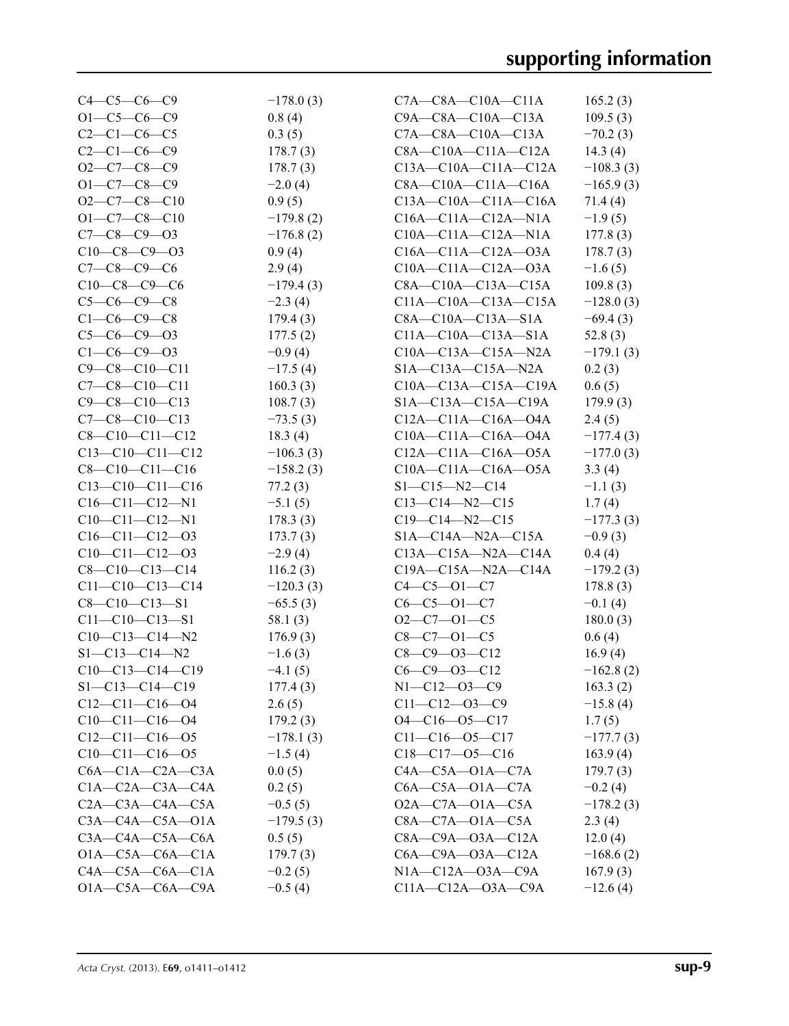| $C4 - C5 - C6 - C9$     | $-178.0(3)$ | $C7A - C8A - C10A - C11A$   | 165.2(3)    |
|-------------------------|-------------|-----------------------------|-------------|
| $O1 - C5 - C6 - C9$     | 0.8(4)      | $C9A - C8A - C10A - C13A$   | 109.5(3)    |
| $C2-C1-C6-C5$           | 0.3(5)      | $C7A - C8A - C10A - C13A$   | $-70.2(3)$  |
| $C2-C1-C6-C9$           | 178.7(3)    | $C8A - C10A - C11A - C12A$  | 14.3 $(4)$  |
| $O2-C7-C8-C9$           | 178.7(3)    | $C13A - C10A - C11A - C12A$ | $-108.3(3)$ |
| $O1 - C7 - C8 - C9$     | $-2.0(4)$   | $C8A - C10A - C11A - C16A$  | $-165.9(3)$ |
| $O2-C7-C8-C10$          | 0.9(5)      | $C13A - C10A - C11A - C16A$ | 71.4 (4)    |
| $O1 - C7 - C8 - C10$    | $-179.8(2)$ | $C16A - C11A - C12A - N1A$  | $-1.9(5)$   |
| $C7 - C8 - C9 - O3$     | $-176.8(2)$ | $C10A - C11A - C12A - N1A$  | 177.8(3)    |
| $C10-C8-C9-03$          | 0.9(4)      | $C16A - C11A - C12A - 03A$  | 178.7(3)    |
| $C7 - C8 - C9 - C6$     | 2.9(4)      | $C10A - C11A - C12A - 03A$  | $-1.6(5)$   |
| $C10-C8-C9-C6$          | $-179.4(3)$ | $C8A - C10A - C13A - C15A$  | 109.8(3)    |
| $C5-C6-C9-C8$           | $-2.3(4)$   | $C11A - C10A - C13A - C15A$ | $-128.0(3)$ |
| $C1 - C6 - C9 - C8$     | 179.4(3)    | $C8A - C10A - C13A - S1A$   | $-69.4(3)$  |
| $C5-C6-C9-O3$           | 177.5(2)    | $C11A-C10A-C13A-S1A$        | 52.8 $(3)$  |
| $C1-C6-C9-O3$           | $-0.9(4)$   | $C10A - C13A - C15A - N2A$  | $-179.1(3)$ |
| $C9 - C8 - C10 - C11$   | $-17.5(4)$  | $SIA - C13A - C15A - N2A$   | 0.2(3)      |
| $C7-C8-C10-C11$         |             |                             |             |
|                         | 160.3(3)    | $C10A - C13A - C15A - C19A$ | 0.6(5)      |
| $C9 - C8 - C10 - C13$   | 108.7(3)    | $SIA - C13A - C15A - C19A$  | 179.9(3)    |
| $C7-C8-C10-C13$         | $-73.5(3)$  | $C12A - C11A - C16A - O4A$  | 2.4(5)      |
| $C8-C10-C11-C12$        | 18.3(4)     | $C10A - C11A - C16A - O4A$  | $-177.4(3)$ |
| $C13-C10-C11-C12$       | $-106.3(3)$ | $C12A - C11A - C16A - 05A$  | $-177.0(3)$ |
| $C8-C10-C11-C16$        | $-158.2(3)$ | $C10A - C11A - C16A - 05A$  | 3.3(4)      |
| $C13-C10-C11-C16$       | 77.2(3)     | $S1 - C15 - N2 - C14$       | $-1.1(3)$   |
| $C16-C11-C12-N1$        | $-5.1(5)$   | $C13-C14-M2-C15$            | 1.7(4)      |
| $C10-C11-C12-N1$        | 178.3(3)    | $C19-C14-N2-C15$            | $-177.3(3)$ |
| $C16-C11-C12-03$        | 173.7(3)    | $SIA - C14A - N2A - C15A$   | $-0.9(3)$   |
| $C10-C11-C12-03$        | $-2.9(4)$   | $C13A - C15A - N2A - C14A$  | 0.4(4)      |
| $C8 - C10 - C13 - C14$  | 116.2(3)    | $C19A - C15A - N2A - C14A$  | $-179.2(3)$ |
| $C11-C10-C13-C14$       | $-120.3(3)$ | $C4 - C5 - O1 - C7$         | 178.8(3)    |
| $C8 - C10 - C13 - S1$   | $-65.5(3)$  | $C6-C5-O1-C7$               | $-0.1(4)$   |
| $C11 - C10 - C13 - S1$  | 58.1(3)     | $O2-C7-O1-C5$               | 180.0(3)    |
| $C10-C13-C14-N2$        | 176.9(3)    | $C8-C7-01-C5$               | 0.6(4)      |
| $S1 - C13 - C14 - N2$   | $-1.6(3)$   | $C8 - C9 - 03 - C12$        | 16.9(4)     |
| $C10-C13-C14-C19$       | $-4.1(5)$   | $C6-C9-O3-C12$              | $-162.8(2)$ |
| $S1 - C13 - C14 - C19$  | 177.4(3)    | $N1 - C12 - 03 - C9$        | 163.3(2)    |
| $C12-C11-C16-04$        | 2.6(5)      | $C11 - C12 - 03 - C9$       | $-15.8(4)$  |
| $C10-C11-C16-04$        | 179.2(3)    | $O4 - C16 - O5 - C17$       | 1.7(5)      |
| $C12-C11-C16-05$        | $-178.1(3)$ | $C11-C16-O5-C17$            | $-177.7(3)$ |
| $C10-C11-C16-05$        | $-1.5(4)$   | $C18-C17-05-C16$            | 163.9(4)    |
| $C6A - C1A - C2A - C3A$ | 0.0(5)      | $C4A - C5A - O1A - C7A$     | 179.7(3)    |
| $C1A - C2A - C3A - C4A$ | 0.2(5)      | $C6A - C5A - O1A - C7A$     | $-0.2(4)$   |
| $C2A - C3A - C4A - C5A$ | $-0.5(5)$   | $O2A - C7A - O1A - C5A$     | $-178.2(3)$ |
| $C3A - C4A - C5A - O1A$ | $-179.5(3)$ | $C8A - C7A - O1A - C5A$     | 2.3(4)      |
| $C3A - C4A - C5A - C6A$ | 0.5(5)      | $C8A - C9A - O3A - C12A$    | 12.0(4)     |
| $O1A-C5A-C6A-C1A$       | 179.7(3)    | $C6A - C9A - O3A - C12A$    | $-168.6(2)$ |
| $C4A-C5A-C6A-C1A$       | $-0.2(5)$   | $N1A - C12A - O3A - C9A$    | 167.9(3)    |
| $O1A - C5A - C6A - C9A$ | $-0.5(4)$   | $C11A - C12A - O3A - C9A$   | $-12.6(4)$  |